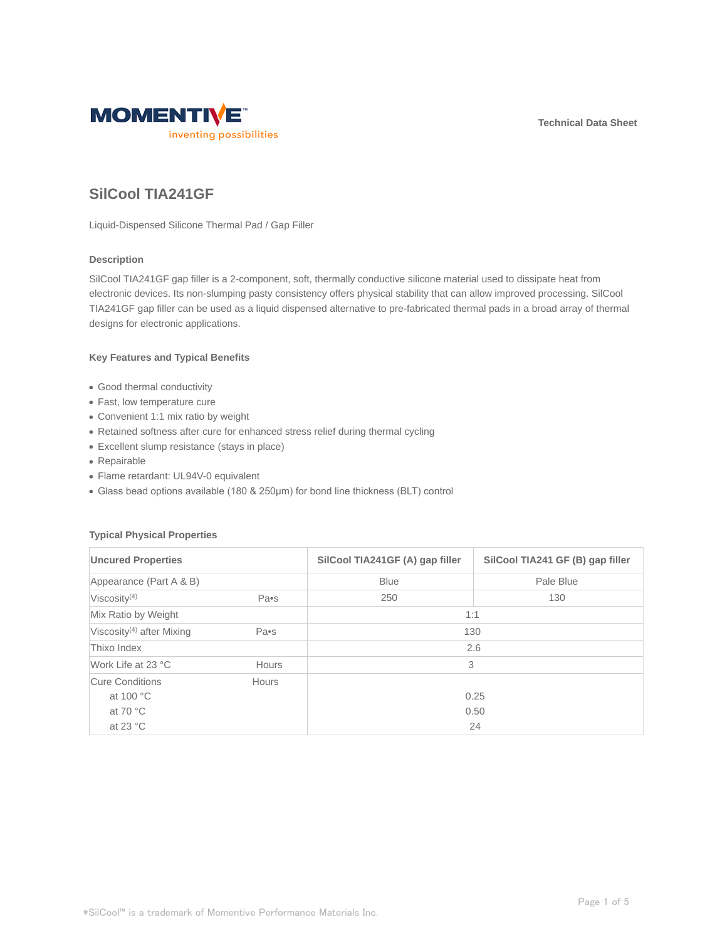**Technical Data Sheet**



# **SilCool TIA241GF**

Liquid-Dispensed Silicone Thermal Pad / Gap Filler

# **Description**

SilCool TIA241GF gap filler is a 2-component, soft, thermally conductive silicone material used to dissipate heat from electronic devices. Its non-slumping pasty consistency offers physical stability that can allow improved processing. SilCool TIA241GF gap filler can be used as a liquid dispensed alternative to pre-fabricated thermal pads in a broad array of thermal designs for electronic applications.

## **Key Features and Typical Benefits**

- Good thermal conductivity
- Fast, low temperature cure
- Convenient 1:1 mix ratio by weight
- Retained softness after cure for enhanced stress relief during thermal cycling
- Excellent slump resistance (stays in place)
- Repairable
- Flame retardant: UL94V-0 equivalent
- Glass bead options available (180 & 250μm) for bond line thickness (BLT) control

## **Typical Physical Properties**

| <b>Uncured Properties</b><br>Appearance (Part A & B) |              | SilCool TIA241GF (A) gap filler<br><b>Blue</b> | SilCool TIA241 GF (B) gap filler<br>Pale Blue |
|------------------------------------------------------|--------------|------------------------------------------------|-----------------------------------------------|
|                                                      |              |                                                |                                               |
| Mix Ratio by Weight                                  |              | 1:1                                            |                                               |
| Viscosity <sup>(4)</sup> after Mixing                | Pa•s         | 130                                            |                                               |
| Thixo Index                                          |              |                                                | 2.6                                           |
| Work Life at 23 °C                                   | <b>Hours</b> | 3                                              |                                               |
| Cure Conditions                                      | Hours        |                                                |                                               |
| at 100 °C                                            |              |                                                | 0.25                                          |
| at 70 $\degree$ C                                    |              |                                                | 0.50                                          |
| at 23 $\degree$ C                                    |              |                                                | 24                                            |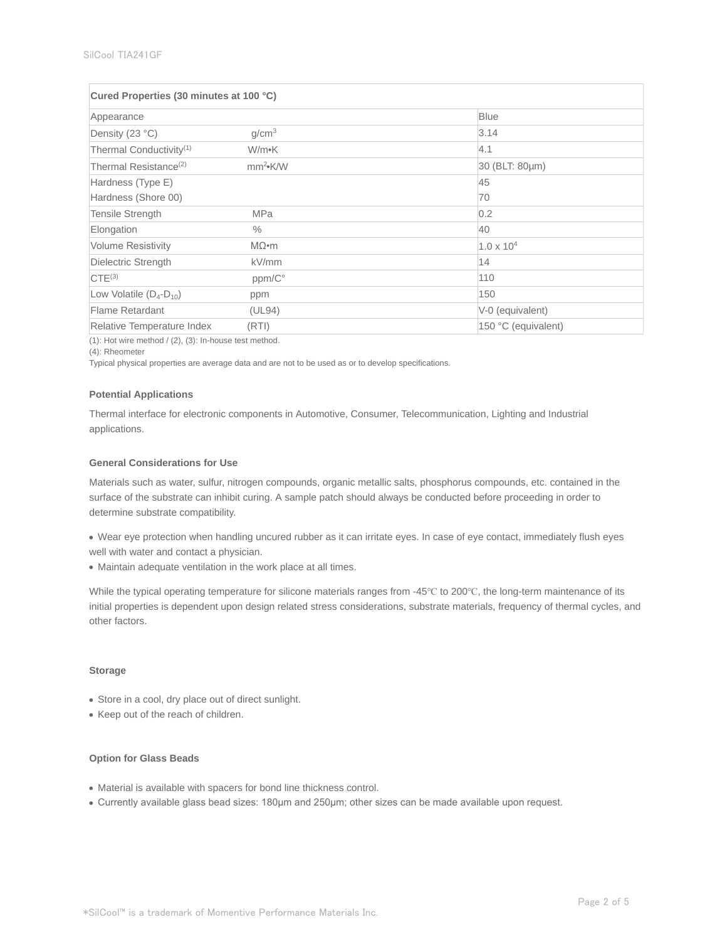| Cured Properties (30 minutes at 100 °C) |                   |                     |  |  |
|-----------------------------------------|-------------------|---------------------|--|--|
| Appearance                              |                   | <b>Blue</b>         |  |  |
| Density (23 °C)                         | g/cm <sup>3</sup> | 3.14                |  |  |
| Thermal Conductivity <sup>(1)</sup>     | W/m•K             | 4.1                 |  |  |
| Thermal Resistance <sup>(2)</sup>       | $mm2$ K/W         | 30 (BLT: 80µm)      |  |  |
| Hardness (Type E)                       |                   | 45                  |  |  |
| Hardness (Shore 00)                     |                   | 70                  |  |  |
| <b>Tensile Strength</b>                 | <b>MPa</b>        | 0.2                 |  |  |
| Elongation                              | $\%$              | 40                  |  |  |
| <b>Volume Resistivity</b>               | $M\Omega$ •m      | $1.0 \times 10^{4}$ |  |  |
| Dielectric Strength                     | kV/mm             | 14                  |  |  |
| CTE <sup>(3)</sup>                      | ppm/C°            | 110                 |  |  |
| Low Volatile $(D_4-D_{10})$             | ppm               | 150                 |  |  |
| Flame Retardant                         | (UL94)            | V-0 (equivalent)    |  |  |
| Relative Temperature Index              | (RTI)             | 150 °C (equivalent) |  |  |

 $(1)$ : Hot wire method /  $(2)$ ,  $(3)$ : In-house test method.

(4): Rheometer

Typical physical properties are average data and are not to be used as or to develop specifications.

#### **Potential Applications**

Thermal interface for electronic components in Automotive, Consumer, Telecommunication, Lighting and Industrial applications.

## **General Considerations for Use**

Materials such as water, sulfur, nitrogen compounds, organic metallic salts, phosphorus compounds, etc. contained in the surface of the substrate can inhibit curing. A sample patch should always be conducted before proceeding in order to determine substrate compatibility.

- Wear eye protection when handling uncured rubber as it can irritate eyes. In case of eye contact, immediately flush eyes well with water and contact a physician.
- Maintain adequate ventilation in the work place at all times.

While the typical operating temperature for silicone materials ranges from -45℃ to 200℃, the long-term maintenance of its initial properties is dependent upon design related stress considerations, substrate materials, frequency of thermal cycles, and other factors.

### **Storage**

- Store in a cool, dry place out of direct sunlight.
- Keep out of the reach of children.

# **Option for Glass Beads**

- Material is available with spacers for bond line thickness control.
- Currently available glass bead sizes: 180μm and 250μm; other sizes can be made available upon request.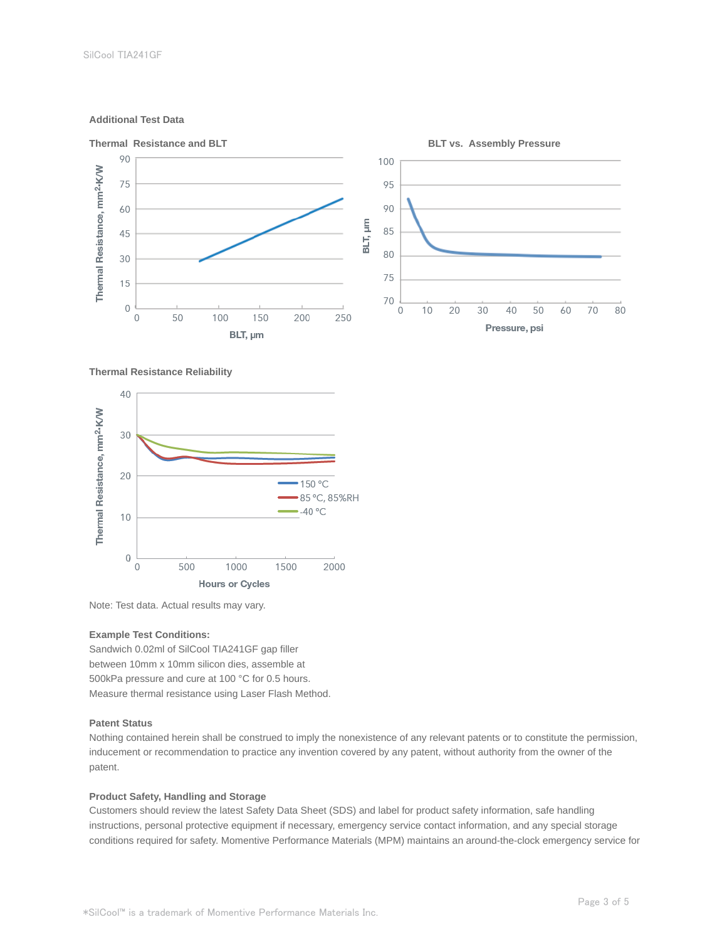## **Additional Test Data**



### **Thermal Resistance Reliability**



Note: Test data. Actual results may vary.

## **Example Test Conditions:**

Sandwich 0.02ml of SilCool TIA241GF gap filler between 10mm x 10mm silicon dies, assemble at 500kPa pressure and cure at 100 °C for 0.5 hours. Measure thermal resistance using Laser Flash Method.

## **Patent Status**

Nothing contained herein shall be construed to imply the nonexistence of any relevant patents or to constitute the permission, inducement or recommendation to practice any invention covered by any patent, without authority from the owner of the patent.

## **Product Safety, Handling and Storage**

Customers should review the latest Safety Data Sheet (SDS) and label for product safety information, safe handling instructions, personal protective equipment if necessary, emergency service contact information, and any special storage conditions required for safety. Momentive Performance Materials (MPM) maintains an around-the-clock emergency service for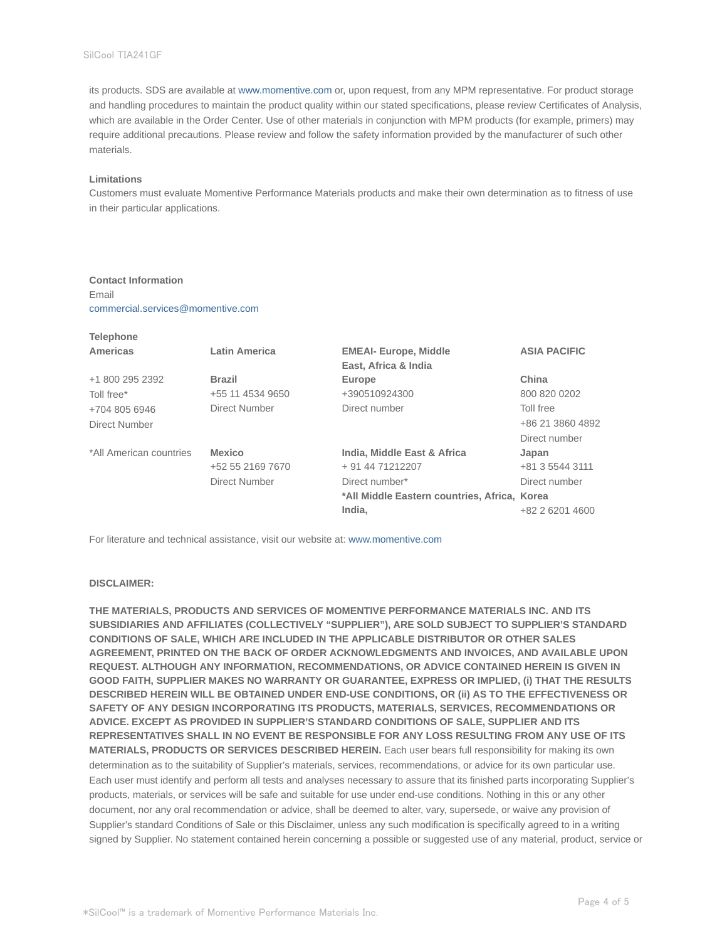its products. SDS are available at www.momentive.com or, upon request, from any MPM representative. For product storage and handling procedures to maintain the product quality within our stated specifications, please review Certificates of Analysis, which are available in the Order Center. Use of other materials in conjunction with MPM products (for example, primers) may require additional precautions. Please review and follow the safety information provided by the manufacturer of such other materials.

### **Limitations**

**Telephone**

Customers must evaluate Momentive Performance Materials products and make their own determination as to fitness of use in their particular applications.

## **Contact Information**

Email commercial.services@momentive.com

| <b>Telephone</b>        |                      |                                              |                     |
|-------------------------|----------------------|----------------------------------------------|---------------------|
| Americas                | <b>Latin America</b> | <b>EMEAI- Europe, Middle</b>                 | <b>ASIA PACIFIC</b> |
|                         |                      | East, Africa & India                         |                     |
| +1 800 295 2392         | <b>Brazil</b>        | Europe                                       | China               |
| Toll free*              | +55 11 4534 9650     | +390510924300                                | 800 820 0202        |
| +704 805 6946           | Direct Number        | Direct number                                | Toll free           |
| Direct Number           |                      |                                              | +86 21 3860 4892    |
|                         |                      |                                              | Direct number       |
| *All American countries | <b>Mexico</b>        | India, Middle East & Africa                  | Japan               |
|                         | +52 55 2169 7670     | + 91 44 71212207                             | +81 3 5544 3111     |
|                         | Direct Number        | Direct number*                               | Direct number       |
|                         |                      | *All Middle Eastern countries, Africa, Korea |                     |
|                         |                      | India.                                       | +82 2 6201 4600     |

For literature and technical assistance, visit our website at: www.momentive.com

### **DISCLAIMER:**

**THE MATERIALS, PRODUCTS AND SERVICES OF MOMENTIVE PERFORMANCE MATERIALS INC. AND ITS SUBSIDIARIES AND AFFILIATES (COLLECTIVELY "SUPPLIER"), ARE SOLD SUBJECT TO SUPPLIER'S STANDARD CONDITIONS OF SALE, WHICH ARE INCLUDED IN THE APPLICABLE DISTRIBUTOR OR OTHER SALES AGREEMENT, PRINTED ON THE BACK OF ORDER ACKNOWLEDGMENTS AND INVOICES, AND AVAILABLE UPON REQUEST. ALTHOUGH ANY INFORMATION, RECOMMENDATIONS, OR ADVICE CONTAINED HEREIN IS GIVEN IN GOOD FAITH, SUPPLIER MAKES NO WARRANTY OR GUARANTEE, EXPRESS OR IMPLIED, (i) THAT THE RESULTS DESCRIBED HEREIN WILL BE OBTAINED UNDER END-USE CONDITIONS, OR (ii) AS TO THE EFFECTIVENESS OR SAFETY OF ANY DESIGN INCORPORATING ITS PRODUCTS, MATERIALS, SERVICES, RECOMMENDATIONS OR ADVICE. EXCEPT AS PROVIDED IN SUPPLIER'S STANDARD CONDITIONS OF SALE, SUPPLIER AND ITS REPRESENTATIVES SHALL IN NO EVENT BE RESPONSIBLE FOR ANY LOSS RESULTING FROM ANY USE OF ITS MATERIALS, PRODUCTS OR SERVICES DESCRIBED HEREIN.** Each user bears full responsibility for making its own determination as to the suitability of Supplier's materials, services, recommendations, or advice for its own particular use. Each user must identify and perform all tests and analyses necessary to assure that its finished parts incorporating Supplier's products, materials, or services will be safe and suitable for use under end-use conditions. Nothing in this or any other document, nor any oral recommendation or advice, shall be deemed to alter, vary, supersede, or waive any provision of Supplier's standard Conditions of Sale or this Disclaimer, unless any such modification is specifically agreed to in a writing signed by Supplier. No statement contained herein concerning a possible or suggested use of any material, product, service or